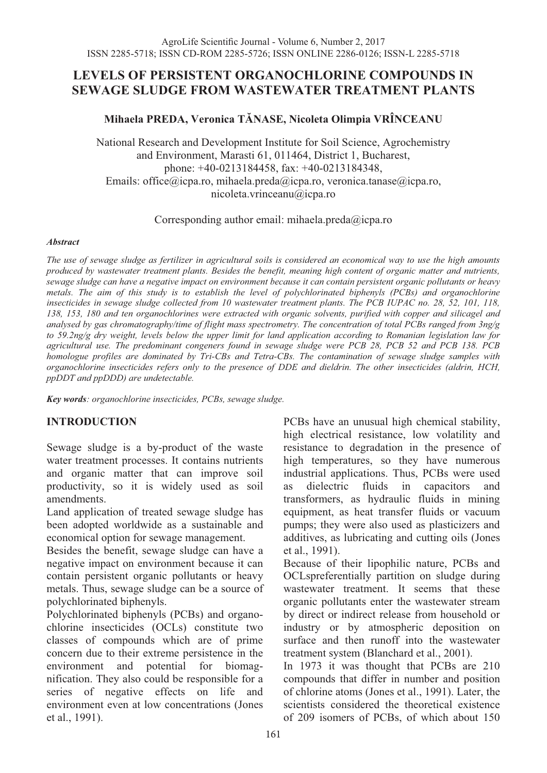# **LEVELS OF PERSISTENT ORGANOCHLORINE COMPOUNDS IN SEWAGE SLUDGE FROM WASTEWATER TREATMENT PLANTS**

### **Mihaela PREDA, Veronica TĂNASE, Nicoleta Olimpia VRÎNCEANU**

National Research and Development Institute for Soil Science, Agrochemistry and Environment, Marasti 61, 011464, District 1, Bucharest, phone: +40-0213184458, fax: +40-0213184348, Emails: office@icpa.ro, mihaela.preda@icpa.ro, veronica.tanase@icpa.ro, nicoleta.vrinceanu@icpa.ro

Corresponding author email: mihaela.preda@icpa.ro

#### *Abstract*

*The use of sewage sludge as fertilizer in agricultural soils is considered an economical way to use the high amounts produced by wastewater treatment plants. Besides the benefit, meaning high content of organic matter and nutrients, sewage sludge can have a negative impact on environment because it can contain persistent organic pollutants or heavy metals. The aim of this study is to establish the level of polychlorinated biphenyls (PCBs) and organochlorine insecticides in sewage sludge collected from 10 wastewater treatment plants. The PCB IUPAC no. 28, 52, 101, 118, 138, 153, 180 and ten organochlorines were extracted with organic solvents, purified with copper and silicagel and analysed by gas chromatography/time of flight mass spectrometry. The concentration of total PCBs ranged from 3ng/g to 59.2ng/g dry weight, levels below the upper limit for land application according to Romanian legislation law for agricultural use. The predominant congeners found in sewage sludge were PCB 28, PCB 52 and PCB 138. PCB homologue profiles are dominated by Tri-CBs and Tetra-CBs. The contamination of sewage sludge samples with organochlorine insecticides refers only to the presence of DDE and dieldrin. The other insecticides (aldrin, HCH, ppDDT and ppDDD) are undetectable.* 

*Key words: organochlorine insecticides, PCBs, sewage sludge.* 

### **INTRODUCTION**

Sewage sludge is a by-product of the waste water treatment processes. It contains nutrients and organic matter that can improve soil productivity, so it is widely used as soil amendments.

Land application of treated sewage sludge has been adopted worldwide as a sustainable and economical option for sewage management.

Besides the benefit, sewage sludge can have a negative impact on environment because it can contain persistent organic pollutants or heavy metals. Thus, sewage sludge can be a source of polychlorinated biphenyls.

Polychlorinated biphenyls (PCBs) and organochlorine insecticides (OCLs) constitute two classes of compounds which are of prime concern due to their extreme persistence in the environment and potential for biomagnification. They also could be responsible for a series of negative effects on life and environment even at low concentrations (Jones et al., 1991).

PCBs have an unusual high chemical stability, high electrical resistance, low volatility and resistance to degradation in the presence of high temperatures, so they have numerous industrial applications. Thus, PCBs were used as dielectric fluids in capacitors and transformers, as hydraulic fluids in mining equipment, as heat transfer fluids or vacuum pumps; they were also used as plasticizers and additives, as lubricating and cutting oils (Jones et al., 1991).

Because of their lipophilic nature, PCBs and OCLspreferentially partition on sludge during wastewater treatment. It seems that these organic pollutants enter the wastewater stream by direct or indirect release from household or industry or by atmospheric deposition on surface and then runoff into the wastewater treatment system (Blanchard et al., 2001).

In 1973 it was thought that PCBs are 210 compounds that differ in number and position of chlorine atoms (Jones et al., 1991). Later, the scientists considered the theoretical existence of 209 isomers of PCBs, of which about 150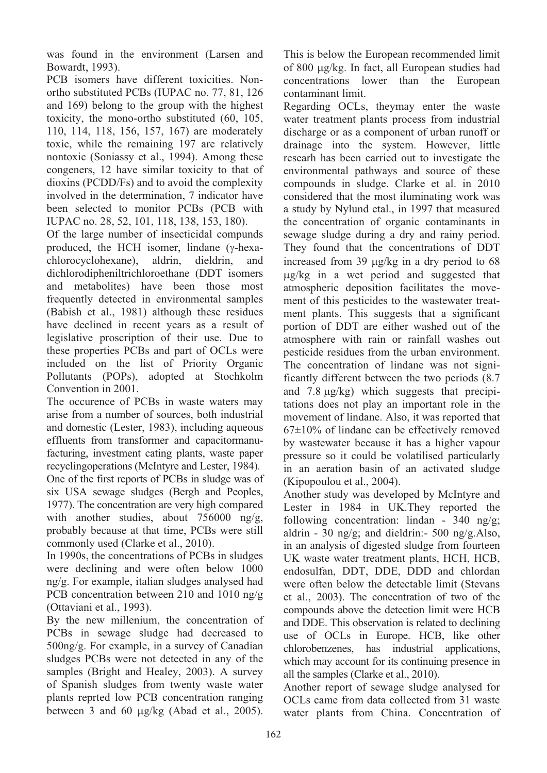was found in the environment (Larsen and Bowardt, 1993).

PCB isomers have different toxicities. Nonortho substituted PCBs (IUPAC no. 77, 81, 126 and 169) belong to the group with the highest toxicity, the mono-ortho substituted (60, 105, 110, 114, 118, 156, 157, 167) are moderately toxic, while the remaining 197 are relatively nontoxic (Soniassy et al., 1994). Among these congeners, 12 have similar toxicity to that of dioxins (PCDD/Fs) and to avoid the complexity involved in the determination, 7 indicator have been selected to monitor PCBs (PCB with IUPAC no. 28, 52, 101, 118, 138, 153, 180).

Of the large number of insecticidal compunds produced, the HCH isomer, lindane  $(\gamma$ -hexachlorocyclohexane), aldrin, dieldrin, and dichlorodipheniltrichloroethane (DDT isomers and metabolites) have been those most frequently detected in environmental samples (Babish et al., 1981) although these residues have declined in recent years as a result of legislative proscription of their use. Due to these properties PCBs and part of OCLs were included on the list of Priority Organic Pollutants (POPs), adopted at Stochkolm Convention in 2001.

The occurence of PCBs in waste waters may arise from a number of sources, both industrial and domestic (Lester, 1983), including aqueous effluents from transformer and capacitormanufacturing, investment cating plants, waste paper recyclingoperations (McIntyre and Lester, 1984). One of the first reports of PCBs in sludge was of six USA sewage sludges (Bergh and Peoples, 1977). The concentration are very high compared with another studies, about 756000 ng/g, probably because at that time, PCBs were still commonly used (Clarke et al., 2010).

In 1990s, the concentrations of PCBs in sludges were declining and were often below 1000 ng/g. For example, italian sludges analysed had PCB concentration between 210 and 1010 ng/g (Ottaviani et al., 1993).

By the new millenium, the concentration of PCBs in sewage sludge had decreased to 500ng/g. For example, in a survey of Canadian sludges PCBs were not detected in any of the samples (Bright and Healey, 2003). A survey of Spanish sludges from twenty waste water plants reprted low PCB concentration ranging between 3 and 60  $\mu$ g/kg (Abad et al., 2005).

This is below the European recommended limit of 800 µg/kg. In fact, all European studies had concentrations lower than the European contaminant limit.

Regarding OCLs, theymay enter the waste water treatment plants process from industrial discharge or as a component of urban runoff or drainage into the system. However, little researh has been carried out to investigate the environmental pathways and source of these compounds in sludge. Clarke et al. in 2010 considered that the most iluminating work was a study by Nylund etal., in 1997 that measured the concentration of organic contaminants in sewage sludge during a dry and rainy period. They found that the concentrations of DDT increased from 39  $\mu$ g/kg in a dry period to 68 g/kg in a wet period and suggested that atmospheric deposition facilitates the movement of this pesticides to the wastewater treatment plants. This suggests that a significant portion of DDT are either washed out of the atmosphere with rain or rainfall washes out pesticide residues from the urban environment. The concentration of lindane was not significantly different between the two periods (8.7 and  $7.8 \mu g/kg$ ) which suggests that precipitations does not play an important role in the movement of lindane. Also, it was reported that  $67\pm10\%$  of lindane can be effectively removed by wastewater because it has a higher vapour pressure so it could be volatilised particularly in an aeration basin of an activated sludge (Kipopoulou et al., 2004).

Another study was developed by McIntyre and Lester in 1984 in UK.They reported the following concentration: lindan - 340 ng/g; aldrin - 30 ng/g; and dieldrin:- 500 ng/g.Also, in an analysis of digested sludge from fourteen UK waste water treatment plants, HCH, HCB, endosulfan, DDT, DDE, DDD and chlordan were often below the detectable limit (Stevans et al., 2003). The concentration of two of the compounds above the detection limit were HCB and DDE. This observation is related to declining use of OCLs in Europe. HCB, like other chlorobenzenes, has industrial applications, which may account for its continuing presence in all the samples (Clarke et al., 2010).

Another report of sewage sludge analysed for OCLs came from data collected from 31 waste water plants from China. Concentration of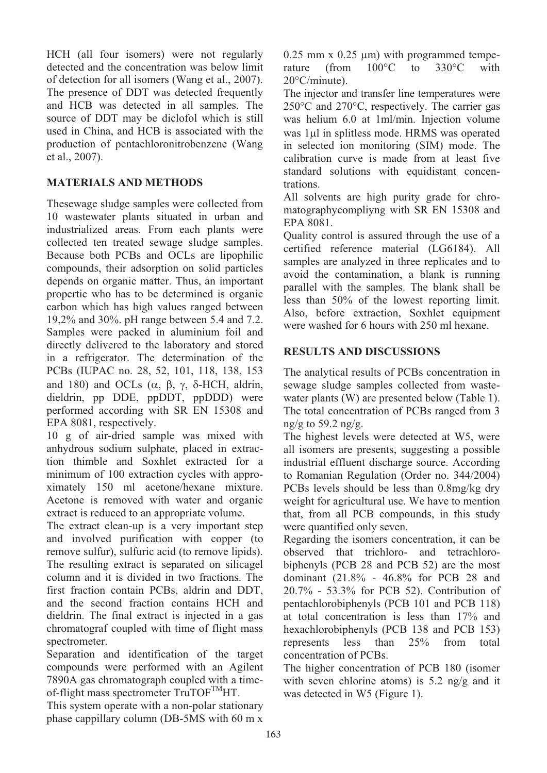HCH (all four isomers) were not regularly detected and the concentration was below limit of detection for all isomers (Wang et al., 2007). The presence of DDT was detected frequently and HCB was detected in all samples. The source of DDT may be diclofol which is still used in China, and HCB is associated with the production of pentachloronitrobenzene (Wang et al., 2007).

# **MATERIALS AND METHODS**

Thesewage sludge samples were collected from 10 wastewater plants situated in urban and industrialized areas. From each plants were collected ten treated sewage sludge samples. Because both PCBs and OCLs are lipophilic compounds, their adsorption on solid particles depends on organic matter. Thus, an important propertie who has to be determined is organic carbon which has high values ranged between 19,2% and 30%. pH range between 5.4 and 7.2. Samples were packed in aluminium foil and directly delivered to the laboratory and stored in a refrigerator. The determination of the PCBs (IUPAC no. 28, 52, 101, 118, 138, 153 and 180) and OCLs  $(\alpha, \beta, \gamma, \delta$ -HCH, aldrin, dieldrin, pp DDE, ppDDT, ppDDD) were performed according with SR EN 15308 and EPA 8081, respectively.

10 g of air-dried sample was mixed with anhydrous sodium sulphate, placed in extraction thimble and Soxhlet extracted for a minimum of 100 extraction cycles with approximately 150 ml acetone/hexane mixture. Acetone is removed with water and organic extract is reduced to an appropriate volume.

The extract clean-up is a very important step and involved purification with copper (to remove sulfur), sulfuric acid (to remove lipids). The resulting extract is separated on silicagel column and it is divided in two fractions. The first fraction contain PCBs, aldrin and DDT, and the second fraction contains HCH and dieldrin. The final extract is injected in a gas chromatograf coupled with time of flight mass spectrometer.

Separation and identification of the target compounds were performed with an Agilent 7890A gas chromatograph coupled with a timeof-flight mass spectrometer  $TruTOF<sup>TM</sup>HT$ .

This system operate with a non-polar stationary phase cappillary column (DB-5MS with 60 m x 0.25 mm x 0.25  $\mu$ m) with programmed temperature (from 100°C to 330°C with rature (from 100°C to 330°C with 20°C/minute).

The injector and transfer line temperatures were 250°C and 270°C, respectively. The carrier gas was helium 6.0 at 1ml/min. Injection volume was 1ul in splitless mode. HRMS was operated in selected ion monitoring (SIM) mode. The calibration curve is made from at least five standard solutions with equidistant concentrations.

All solvents are high purity grade for chromatographycompliyng with SR EN 15308 and EPA 8081.

Quality control is assured through the use of a certified reference material (LG6184). All samples are analyzed in three replicates and to avoid the contamination, a blank is running parallel with the samples. The blank shall be less than 50% of the lowest reporting limit. Also, before extraction, Soxhlet equipment were washed for 6 hours with 250 ml hexane.

# **RESULTS AND DISCUSSIONS**

The analytical results of PCBs concentration in sewage sludge samples collected from wastewater plants (W) are presented below (Table 1). The total concentration of PCBs ranged from 3 ng/g to 59.2 ng/g.

The highest levels were detected at W5, were all isomers are presents, suggesting a possible industrial effluent discharge source. According to Romanian Regulation (Order no. 344/2004) PCBs levels should be less than 0.8mg/kg dry weight for agricultural use. We have to mention that, from all PCB compounds, in this study were quantified only seven.

Regarding the isomers concentration, it can be observed that trichloro- and tetrachlorobiphenyls (PCB 28 and PCB 52) are the most dominant (21.8% - 46.8% for PCB 28 and 20.7% - 53.3% for PCB 52). Contribution of pentachlorobiphenyls (PCB 101 and PCB 118) at total concentration is less than 17% and hexachlorobiphenyls (PCB 138 and PCB 153) represents less than 25% from total concentration of PCBs.

The higher concentration of PCB 180 (isomer with seven chlorine atoms) is 5.2 ng/g and it was detected in W5 (Figure 1).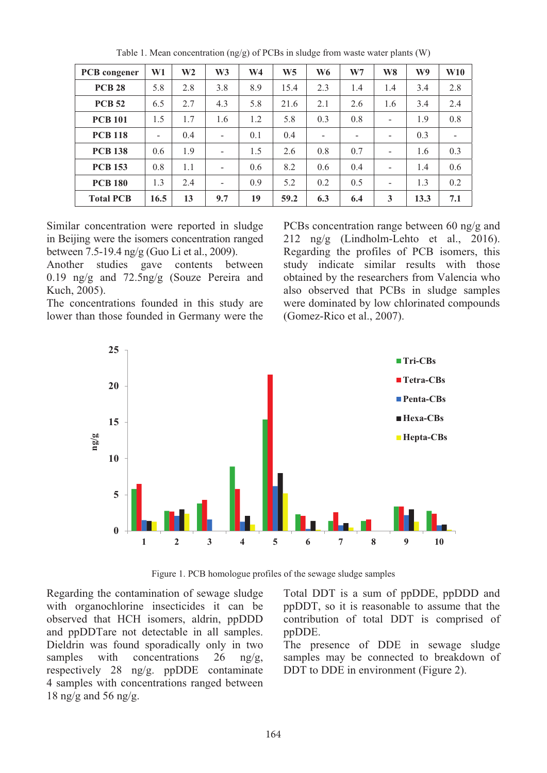| PCB congener     | W1   | W <sub>2</sub> | W <sub>3</sub> | W <sub>4</sub> | W <sub>5</sub> | W <sub>6</sub> | W <sub>7</sub> | W <sub>8</sub>           | W9   | W10 |
|------------------|------|----------------|----------------|----------------|----------------|----------------|----------------|--------------------------|------|-----|
| <b>PCB 28</b>    | 5.8  | 2.8            | 3.8            | 8.9            | 15.4           | 2.3            | 1.4            | 1.4                      | 3.4  | 2.8 |
| <b>PCB 52</b>    | 6.5  | 2.7            | 4.3            | 5.8            | 21.6           | 2.1            | 2.6            | 1.6                      | 3.4  | 2.4 |
| <b>PCB 101</b>   | 1.5  | 1.7            | 1.6            | 1.2            | 5.8            | 0.3            | 0.8            | $\overline{\phantom{a}}$ | 1.9  | 0.8 |
| <b>PCB 118</b>   |      | 0.4            |                | 0.1            | 0.4            |                |                |                          | 0.3  | -   |
| <b>PCB 138</b>   | 0.6  | 1.9            |                | 1.5            | 2.6            | 0.8            | 0.7            |                          | 1.6  | 0.3 |
| <b>PCB 153</b>   | 0.8  | 1.1            |                | 0.6            | 8.2            | 0.6            | 0.4            |                          | 1.4  | 0.6 |
| <b>PCB 180</b>   | 1.3  | 2.4            |                | 0.9            | 5.2            | 0.2            | 0.5            |                          | 1.3  | 0.2 |
| <b>Total PCB</b> | 16.5 | 13             | 9.7            | 19             | 59.2           | 6.3            | 6.4            | 3                        | 13.3 | 7.1 |

Table 1. Mean concentration (ng/g) of PCBs in sludge from waste water plants (W)

Similar concentration were reported in sludge in Beijing were the isomers concentration ranged between 7.5-19.4 ng/g (Guo Li et al., 2009).

Another studies gave contents between 0.19 ng/g and 72.5ng/g (Souze Pereira and Kuch, 2005).

The concentrations founded in this study are lower than those founded in Germany were the PCBs concentration range between 60 ng/g and 212 ng/g (Lindholm-Lehto et al., 2016). Regarding the profiles of PCB isomers, this study indicate similar results with those obtained by the researchers from Valencia who also observed that PCBs in sludge samples were dominated by low chlorinated compounds (Gomez-Rico et al., 2007).



Figure 1. PCB homologue profiles of the sewage sludge samples

Regarding the contamination of sewage sludge with organochlorine insecticides it can be observed that HCH isomers, aldrin, ppDDD and ppDDTare not detectable in all samples. Dieldrin was found sporadically only in two samples with concentrations  $26 \text{ ng/g}$ , respectively 28 ng/g. ppDDE contaminate 4 samples with concentrations ranged between 18 ng/g and 56 ng/g.

Total DDT is a sum of ppDDE, ppDDD and ppDDT, so it is reasonable to assume that the contribution of total DDT is comprised of ppDDE.

The presence of DDE in sewage sludge samples may be connected to breakdown of DDT to DDE in environment (Figure 2).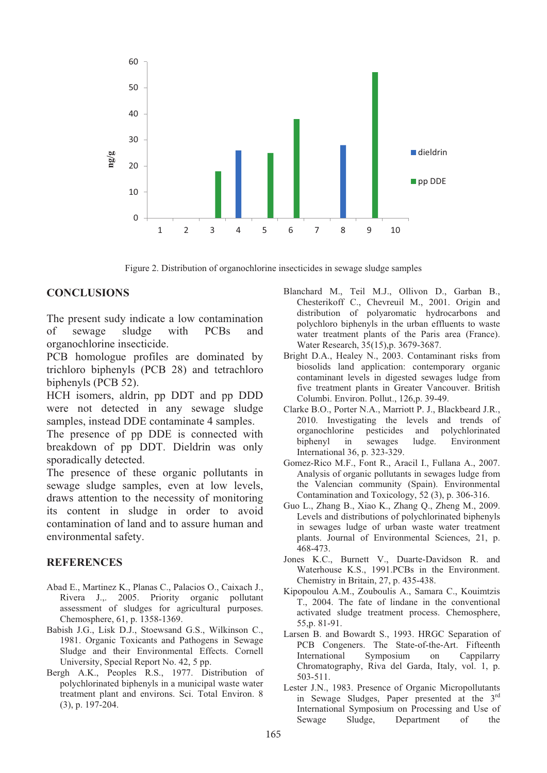

Figure 2. Distribution of organochlorine insecticides in sewage sludge samples

#### **CONCLUSIONS**

The present sudy indicate a low contamination of sewage sludge with PCBs and organochlorine insecticide.

PCB homologue profiles are dominated by trichloro biphenyls (PCB 28) and tetrachloro biphenyls (PCB 52).

HCH isomers, aldrin, pp DDT and pp DDD were not detected in any sewage sludge samples, instead DDE contaminate 4 samples.

The presence of pp DDE is connected with breakdown of pp DDT. Dieldrin was only sporadically detected.

The presence of these organic pollutants in sewage sludge samples, even at low levels, draws attention to the necessity of monitoring its content in sludge in order to avoid contamination of land and to assure human and environmental safety.

#### **REFERENCES**

- Abad E., Martinez K., Planas C., Palacios O., Caixach J., Rivera J.,. 2005. Priority organic pollutant assessment of sludges for agricultural purposes. Chemosphere, 61, p. 1358-1369.
- Babish J.G., Lisk D.J., Stoewsand G.S., Wilkinson C., 1981. Organic Toxicants and Pathogens in Sewage Sludge and their Environmental Effects. Cornell University, Special Report No. 42, 5 pp.
- Bergh A.K., Peoples R.S., 1977. Distribution of polychlorinated biphenyls in a municipal waste water treatment plant and environs. Sci. Total Environ. 8 (3), p. 197-204.
- Blanchard M., Teil M.J., Ollivon D., Garban B., Chesterikoff C., Chevreuil M., 2001. Origin and distribution of polyaromatic hydrocarbons and polychloro biphenyls in the urban effluents to waste water treatment plants of the Paris area (France). Water Research, 35(15),p. 3679-3687.
- Bright D.A., Healey N., 2003. Contaminant risks from biosolids land application: contemporary organic contaminant levels in digested sewages ludge from five treatment plants in Greater Vancouver. British Columbi. Environ. Pollut., 126,p. 39-49.
- Clarke B.O., Porter N.A., Marriott P. J., Blackbeard J.R., 2010. Investigating the levels and trends of organochlorine pesticides and polychlorinated organochlorine pesticides and biphenyl in sewages ludge. Environment International 36, p. 323-329.
- Gomez-Rico M.F., Font R., Aracil I., Fullana A., 2007. Analysis of organic pollutants in sewages ludge from the Valencian community (Spain). Environmental Contamination and Toxicology, 52 (3), p. 306-316.
- Guo L., Zhang B., Xiao K., Zhang Q., Zheng M., 2009. Levels and distributions of polychlorinated biphenyls in sewages ludge of urban waste water treatment plants. Journal of Environmental Sciences, 21, p. 468-473.
- Jones K.C., Burnett V., Duarte-Davidson R. and Waterhouse K.S., 1991.PCBs in the Environment. Chemistry in Britain, 27, p. 435-438.
- Kipopoulou A.M., Zouboulis A., Samara C., Kouimtzis T., 2004. The fate of lindane in the conventional activated sludge treatment process. Chemosphere, 55,p. 81-91.
- Larsen B. and Bowardt S., 1993. HRGC Separation of PCB Congeners. The State-of-the-Art. Fifteenth International Symposium on Cappilarry Chromatography, Riva del Garda, Italy, vol. 1, p. 503-511.
- Lester J.N., 1983. Presence of Organic Micropollutants in Sewage Sludges, Paper presented at the 3rd International Symposium on Processing and Use of Sewage Sludge, Department of the